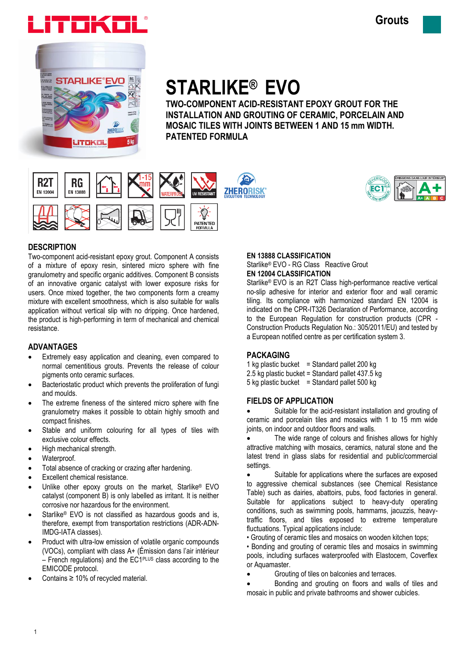



# **STARLIKE® EVO**

**TWO-COMPONENT ACID-RESISTANT EPOXY GROUT FOR THE INSTALLATION AND GROUTING OF CERAMIC, PORCELAIN AND MOSAIC TILES WITH JOINTS BETWEEN 1 AND 15 mm WIDTH. PATENTED FORMULA**





# **DESCRIPTION**

Two-component acid-resistant epoxy grout. Component A consists of a mixture of epoxy resin, sintered micro sphere with fine granulometry and specific organic additives. Component B consists of an innovative organic catalyst with lower exposure risks for users. Once mixed together, the two components form a creamy mixture with excellent smoothness, which is also suitable for walls application without vertical slip with no dripping. Once hardened, the product is high-performing in term of mechanical and chemical resistance.

# **ADVANTAGES**

- Extremely easy application and cleaning, even compared to normal cementitious grouts. Prevents the release of colour pigments onto ceramic surfaces.
- Bacteriostatic product which prevents the proliferation of fungi and moulds.
- The extreme fineness of the sintered micro sphere with fine granulometry makes it possible to obtain highly smooth and compact finishes.
- Stable and uniform colouring for all types of tiles with exclusive colour effects.
- High mechanical strength.
- Waterproof.
- Total absence of cracking or crazing after hardening.
- Excellent chemical resistance.
- Unlike other epoxy grouts on the market, Starlike® EVO catalyst (component B) is only labelled as irritant. It is neither corrosive nor hazardous for the environment.
- Starlike<sup>®</sup> EVO is not classified as hazardous goods and is, therefore, exempt from transportation restrictions (ADR-ADN-IMDG-IATA classes).
- Product with ultra-low emission of volatile organic compounds (VOCs), compliant with class A+ (Émission dans l'air intérieur  $-$  French regulations) and the EC1PLUS class according to the EMICODE protocol.
- Contains ≥ 10% of recycled material.

# **EN 13888 CLASSIFICATION**

Starlike® EVO - RG Class Reactive Grout **EN 12004 CLASSIFICATION** 

Starlike® EVO is an R2T Class high-performance reactive vertical no-slip adhesive for interior and exterior floor and wall ceramic tiling. Its compliance with harmonized standard EN 12004 is indicated on the CPR-IT326 Declaration of Performance, according to the European Regulation for construction products (CPR - Construction Products Regulation No.: 305/2011/EU) and tested by a European notified centre as per certification system 3.

# **PACKAGING**

- 1 kg plastic bucket = Standard pallet 200 kg
- 2.5 kg plastic bucket = Standard pallet 437.5 kg
- $5$  kg plastic bucket = Standard pallet  $500$  kg

# **FIELDS OF APPLICATION**

 Suitable for the acid-resistant installation and grouting of ceramic and porcelain tiles and mosaics with 1 to 15 mm wide joints, on indoor and outdoor floors and walls.

 The wide range of colours and finishes allows for highly attractive matching with mosaics, ceramics, natural stone and the latest trend in glass slabs for residential and public/commercial settings.

 Suitable for applications where the surfaces are exposed to aggressive chemical substances (see Chemical Resistance Table) such as dairies, abattoirs, pubs, food factories in general. Suitable for applications subject to heavy-duty operating conditions, such as swimming pools, hammams, jacuzzis, heavytraffic floors, and tiles exposed to extreme temperature fluctuations. Typical applications include:

• Grouting of ceramic tiles and mosaics on wooden kitchen tops;

• Bonding and grouting of ceramic tiles and mosaics in swimming pools, including surfaces waterproofed with Elastocem, Coverflex or Aquamaster.

- Grouting of tiles on balconies and terraces.
- Bonding and grouting on floors and walls of tiles and mosaic in public and private bathrooms and shower cubicles.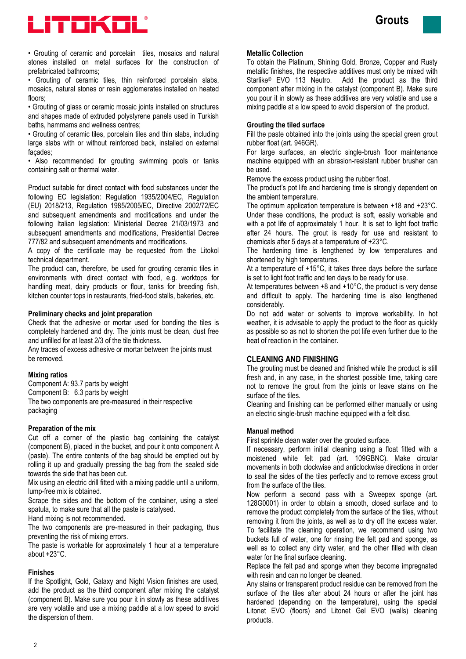



• Grouting of ceramic and porcelain tiles, mosaics and natural stones installed on metal surfaces for the construction of prefabricated bathrooms;

• Grouting of ceramic tiles, thin reinforced porcelain slabs, mosaics, natural stones or resin agglomerates installed on heated floors;

• Grouting of glass or ceramic mosaic joints installed on structures and shapes made of extruded polystyrene panels used in Turkish baths, hammams and wellness centres;

• Grouting of ceramic tiles, porcelain tiles and thin slabs, including large slabs with or without reinforced back, installed on external façades;

• Also recommended for grouting swimming pools or tanks containing salt or thermal water.

Product suitable for direct contact with food substances under the following EC legislation: Regulation 1935/2004/EC, Regulation (EU) 2018/213, Regulation 1985/2005/EC, Directive 2002/72/EC and subsequent amendments and modifications and under the following Italian legislation: Ministerial Decree 21/03/1973 and subsequent amendments and modifications, Presidential Decree 777/82 and subsequent amendments and modifications.

A copy of the certificate may be requested from the Litokol technical department.

The product can, therefore, be used for grouting ceramic tiles in environments with direct contact with food, e.g. worktops for handling meat, dairy products or flour, tanks for breeding fish, kitchen counter tops in restaurants, fried-food stalls, bakeries, etc.

#### **Preliminary checks and joint preparation**

Check that the adhesive or mortar used for bonding the tiles is completely hardened and dry. The joints must be clean, dust free and unfilled for at least 2/3 of the tile thickness.

Any traces of excess adhesive or mortar between the joints must be removed.

#### **Mixing ratios**

Component A: 93.7 parts by weight Component B: 6.3 parts by weight The two components are pre-measured in their respective packaging

#### **Preparation of the mix**

Cut off a corner of the plastic bag containing the catalyst (component B), placed in the bucket, and pour it onto component A (paste). The entire contents of the bag should be emptied out by rolling it up and gradually pressing the bag from the sealed side towards the side that has been cut.

Mix using an electric drill fitted with a mixing paddle until a uniform, lump-free mix is obtained.

Scrape the sides and the bottom of the container, using a steel spatula, to make sure that all the paste is catalysed.

Hand mixing is not recommended.

The two components are pre-measured in their packaging, thus preventing the risk of mixing errors.

The paste is workable for approximately 1 hour at a temperature about  $+23^{\circ}$ C.

#### **Finishes**

If the Spotlight, Gold, Galaxy and Night Vision finishes are used, add the product as the third component after mixing the catalyst (component B). Make sure you pour it in slowly as these additives are very volatile and use a mixing paddle at a low speed to avoid the dispersion of them.

#### **Metallic Collection**

To obtain the Platinum, Shining Gold, Bronze, Copper and Rusty metallic finishes, the respective additives must only be mixed with Starlike® EVO 113 Neutro. Add the product as the third component after mixing in the catalyst (component B). Make sure you pour it in slowly as these additives are very volatile and use a mixing paddle at a low speed to avoid dispersion of the product.

#### **Grouting the tiled surface**

Fill the paste obtained into the joints using the special green grout rubber float (art. 946GR).

For large surfaces, an electric single-brush floor maintenance machine equipped with an abrasion-resistant rubber brusher can be used.

Remove the excess product using the rubber float.

The product's pot life and hardening time is strongly dependent on the ambient temperature.

The optimum application temperature is between +18 and +23°C. Under these conditions, the product is soft, easily workable and with a pot life of approximately 1 hour. It is set to light foot traffic after 24 hours. The grout is ready for use and resistant to chemicals after 5 days at a temperature of +23°C.

The hardening time is lengthened by low temperatures and shortened by high temperatures.

At a temperature of +15°C, it takes three days before the surface is set to light foot traffic and ten days to be ready for use.

At temperatures between  $+8$  and  $+10^{\circ}$ C, the product is very dense and difficult to apply. The hardening time is also lengthened considerably.

Do not add water or solvents to improve workability. In hot weather, it is advisable to apply the product to the floor as quickly as possible so as not to shorten the pot life even further due to the heat of reaction in the container.

# **CLEANING AND FINISHING**

The grouting must be cleaned and finished while the product is still fresh and, in any case, in the shortest possible time, taking care not to remove the grout from the joints or leave stains on the surface of the tiles.

Cleaning and finishing can be performed either manually or using an electric single-brush machine equipped with a felt disc.

#### **Manual method**

First sprinkle clean water over the grouted surface.

If necessary, perform initial cleaning using a float fitted with a moistened white felt pad (art. 109GBNC). Make circular movements in both clockwise and anticlockwise directions in order to seal the sides of the tiles perfectly and to remove excess grout from the surface of the tiles.

Now perform a second pass with a Sweepex sponge (art. 128G0001) in order to obtain a smooth, closed surface and to remove the product completely from the surface of the tiles, without removing it from the joints, as well as to dry off the excess water. To facilitate the cleaning operation, we recommend using two buckets full of water, one for rinsing the felt pad and sponge, as well as to collect any dirty water, and the other filled with clean water for the final surface cleaning.

Replace the felt pad and sponge when they become impregnated with resin and can no longer be cleaned.

Any stains or transparent product residue can be removed from the surface of the tiles after about 24 hours or after the joint has hardened (depending on the temperature), using the special Litonet EVO (floors) and Litonet Gel EVO (walls) cleaning products.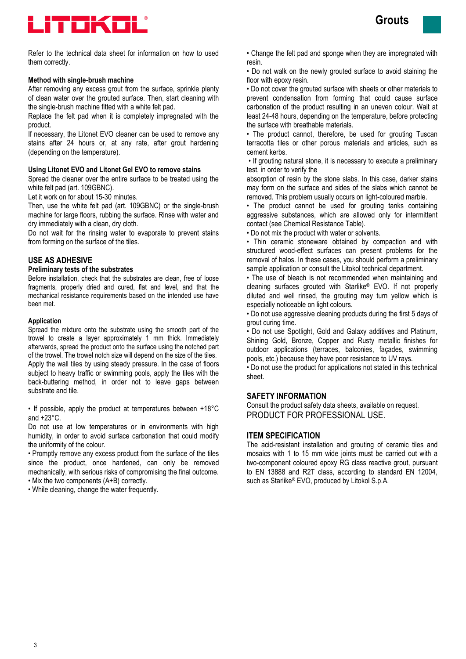

Refer to the technical data sheet for information on how to used them correctly.

#### **Method with single-brush machine**

After removing any excess grout from the surface, sprinkle plenty of clean water over the grouted surface. Then, start cleaning with the single-brush machine fitted with a white felt pad.

Replace the felt pad when it is completely impregnated with the product.

If necessary, the Litonet EVO cleaner can be used to remove any stains after 24 hours or, at any rate, after grout hardening (depending on the temperature).

#### **Using Litonet EVO and Litonet Gel EVO to remove stains**

Spread the cleaner over the entire surface to be treated using the white felt pad (art. 109GBNC).

Let it work on for about 15-30 minutes.

Then, use the white felt pad (art. 109GBNC) or the single-brush machine for large floors, rubbing the surface. Rinse with water and dry immediately with a clean, dry cloth.

Do not wait for the rinsing water to evaporate to prevent stains from forming on the surface of the tiles.

### **USE AS ADHESIVE**

#### **Preliminary tests of the substrates**

Before installation, check that the substrates are clean, free of loose fragments, properly dried and cured, flat and level, and that the mechanical resistance requirements based on the intended use have been met.

#### **Application**

Spread the mixture onto the substrate using the smooth part of the trowel to create a layer approximately 1 mm thick. Immediately afterwards, spread the product onto the surface using the notched part of the trowel. The trowel notch size will depend on the size of the tiles. Apply the wall tiles by using steady pressure. In the case of floors subject to heavy traffic or swimming pools, apply the tiles with the back-buttering method, in order not to leave gaps between substrate and tile.

• If possible, apply the product at temperatures between +18°C and  $+23^{\circ}$ C.

Do not use at low temperatures or in environments with high humidity, in order to avoid surface carbonation that could modify the uniformity of the colour.

• Promptly remove any excess product from the surface of the tiles since the product, once hardened, can only be removed mechanically, with serious risks of compromising the final outcome. • Mix the two components (A+B) correctly.

• While cleaning, change the water frequently.

• Change the felt pad and sponge when they are impregnated with resin.

• Do not walk on the newly grouted surface to avoid staining the floor with epoxy resin.

• Do not cover the grouted surface with sheets or other materials to prevent condensation from forming that could cause surface carbonation of the product resulting in an uneven colour. Wait at least 24-48 hours, depending on the temperature, before protecting the surface with breathable materials.

• The product cannot, therefore, be used for grouting Tuscan terracotta tiles or other porous materials and articles, such as cement kerbs.

• If grouting natural stone, it is necessary to execute a preliminary test, in order to verify the

absorption of resin by the stone slabs. In this case, darker stains may form on the surface and sides of the slabs which cannot be removed. This problem usually occurs on light-coloured marble.

• The product cannot be used for grouting tanks containing aggressive substances, which are allowed only for intermittent contact (see Chemical Resistance Table).

• Do not mix the product with water or solvents.

• Thin ceramic stoneware obtained by compaction and with structured wood-effect surfaces can present problems for the removal of halos. In these cases, you should perform a preliminary sample application or consult the Litokol technical department.

• The use of bleach is not recommended when maintaining and cleaning surfaces grouted with Starlike® EVO. If not properly diluted and well rinsed, the grouting may turn yellow which is especially noticeable on light colours.

• Do not use aggressive cleaning products during the first 5 days of grout curing time.

• Do not use Spotlight, Gold and Galaxy additives and Platinum, Shining Gold, Bronze, Copper and Rusty metallic finishes for outdoor applications (terraces, balconies, façades, swimming pools, etc.) because they have poor resistance to UV rays.

• Do not use the product for applications not stated in this technical sheet.

#### **SAFETY INFORMATION**

Consult the product safety data sheets, available on request. PRODUCT FOR PROFESSIONAL USE.

## **ITEM SPECIFICATION**

The acid-resistant installation and grouting of ceramic tiles and mosaics with 1 to 15 mm wide joints must be carried out with a two-component coloured epoxy RG class reactive grout, pursuant to EN 13888 and R2T class, according to standard EN 12004, such as Starlike® EVO, produced by Litokol S.p.A.

**Grouts**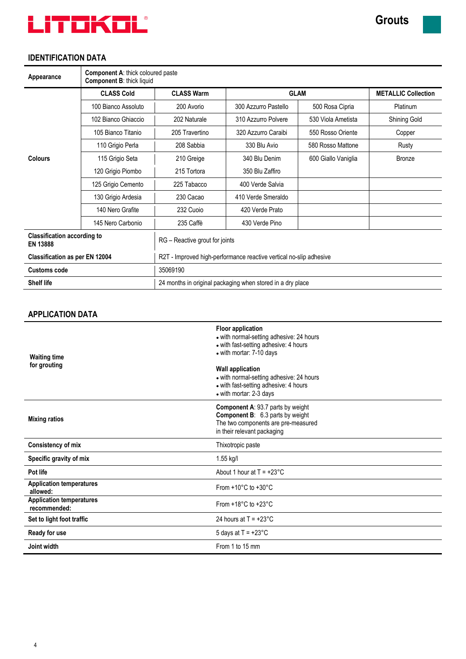

# **IDENTIFICATION DATA**

| Appearance                                            | <b>Component A: thick coloured paste</b><br><b>Component B: thick liquid</b> |                                                                    |                      |                            |               |  |
|-------------------------------------------------------|------------------------------------------------------------------------------|--------------------------------------------------------------------|----------------------|----------------------------|---------------|--|
|                                                       | <b>CLASS Cold</b>                                                            | <b>CLASS Warm</b>                                                  | <b>GLAM</b>          | <b>METALLIC Collection</b> |               |  |
|                                                       | 100 Bianco Assoluto                                                          | 200 Avorio                                                         | 300 Azzurro Pastello | 500 Rosa Cipria            | Platinum      |  |
|                                                       | 102 Bianco Ghiaccio                                                          | 202 Naturale                                                       | 310 Azzurro Polvere  | 530 Viola Ametista         | Shining Gold  |  |
|                                                       | 105 Bianco Titanio                                                           | 205 Travertino                                                     | 320 Azzurro Caraibi  | 550 Rosso Oriente          | Copper        |  |
|                                                       | 110 Grigio Perla                                                             | 208 Sabbia                                                         | 330 Blu Avio         | 580 Rosso Mattone          | Rusty         |  |
| <b>Colours</b>                                        | 115 Grigio Seta                                                              | 210 Greige                                                         | 340 Blu Denim        | 600 Giallo Vaniglia        | <b>Bronze</b> |  |
|                                                       | 120 Grigio Piombo                                                            | 215 Tortora                                                        | 350 Blu Zaffiro      |                            |               |  |
|                                                       | 125 Grigio Cemento                                                           | 225 Tabacco                                                        | 400 Verde Salvia     |                            |               |  |
|                                                       | 130 Grigio Ardesia                                                           | 230 Cacao                                                          | 410 Verde Smeraldo   |                            |               |  |
|                                                       | 140 Nero Grafite                                                             | 232 Cuoio                                                          | 420 Verde Prato      |                            |               |  |
|                                                       | 145 Nero Carbonio                                                            | 235 Caffè                                                          | 430 Verde Pino       |                            |               |  |
| <b>Classification according to</b><br><b>EN 13888</b> |                                                                              | RG - Reactive grout for joints                                     |                      |                            |               |  |
| <b>Classification as per EN 12004</b>                 |                                                                              | R2T - Improved high-performance reactive vertical no-slip adhesive |                      |                            |               |  |
| <b>Customs code</b>                                   |                                                                              | 35069190                                                           |                      |                            |               |  |
| <b>Shelf life</b>                                     |                                                                              | 24 months in original packaging when stored in a dry place         |                      |                            |               |  |

# **APPLICATION DATA**

| <b>Waiting time</b><br>for grouting             | <b>Floor application</b><br>• with normal-setting adhesive: 24 hours<br>• with fast-setting adhesive: 4 hours<br>• with mortar: 7-10 days<br><b>Wall application</b><br>• with normal-setting adhesive: 24 hours<br>• with fast-setting adhesive: 4 hours<br>• with mortar: 2-3 days |  |  |
|-------------------------------------------------|--------------------------------------------------------------------------------------------------------------------------------------------------------------------------------------------------------------------------------------------------------------------------------------|--|--|
| <b>Mixing ratios</b>                            | <b>Component A: 93.7 parts by weight</b><br><b>Component B:</b> 6.3 parts by weight<br>The two components are pre-measured<br>in their relevant packaging                                                                                                                            |  |  |
| <b>Consistency of mix</b>                       | Thixotropic paste                                                                                                                                                                                                                                                                    |  |  |
| Specific gravity of mix                         | 1.55 kg/l                                                                                                                                                                                                                                                                            |  |  |
| Pot life                                        | About 1 hour at $T = +23^{\circ}$ C                                                                                                                                                                                                                                                  |  |  |
| <b>Application temperatures</b><br>allowed:     | From $+10^{\circ}$ C to $+30^{\circ}$ C                                                                                                                                                                                                                                              |  |  |
| <b>Application temperatures</b><br>recommended: | From $+18^{\circ}$ C to $+23^{\circ}$ C                                                                                                                                                                                                                                              |  |  |
| Set to light foot traffic                       | 24 hours at $T = +23^{\circ}$ C                                                                                                                                                                                                                                                      |  |  |
| Ready for use                                   | 5 days at $T = +23^{\circ}$ C                                                                                                                                                                                                                                                        |  |  |
| Joint width                                     | From 1 to 15 mm                                                                                                                                                                                                                                                                      |  |  |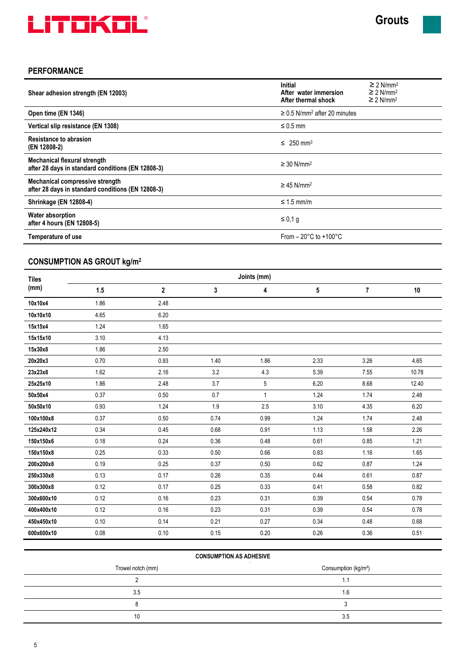

# **PERFORMANCE**

| Shear adhesion strength (EN 12003)                                                          | <b>Initial</b><br>After water immersion<br>After thermal shock | $\geq$ 2 N/mm <sup>2</sup><br>$\geq$ 2 N/mm <sup>2</sup><br>$\geq$ 2 N/mm <sup>2</sup> |  |
|---------------------------------------------------------------------------------------------|----------------------------------------------------------------|----------------------------------------------------------------------------------------|--|
| Open time (EN 1346)                                                                         | $\geq$ 0.5 N/mm <sup>2</sup> after 20 minutes                  |                                                                                        |  |
| Vertical slip resistance (EN 1308)                                                          | $\leq 0.5$ mm                                                  |                                                                                        |  |
| Resistance to abrasion<br>(EN 12808-2)                                                      | $\leq 250$ mm <sup>3</sup>                                     |                                                                                        |  |
| <b>Mechanical flexural strength</b><br>after 28 days in standard conditions (EN 12808-3)    | $\geq$ 30 N/mm <sup>2</sup>                                    |                                                                                        |  |
| <b>Mechanical compressive strength</b><br>after 28 days in standard conditions (EN 12808-3) | $\geq$ 45 N/mm <sup>2</sup>                                    |                                                                                        |  |
| <b>Shrinkage (EN 12808-4)</b>                                                               | $\leq$ 1.5 mm/m                                                |                                                                                        |  |
| <b>Water absorption</b><br>after 4 hours (EN 12808-5)                                       | $\leq 0.1$ g                                                   |                                                                                        |  |
| From $-20^{\circ}$ C to $+100^{\circ}$ C<br>Temperature of use                              |                                                                |                                                                                        |  |

# **CONSUMPTION AS GROUT kg/m<sup>2</sup>**

| <b>Tiles</b> | Joints (mm) |              |      |              |      |      |       |  |
|--------------|-------------|--------------|------|--------------|------|------|-------|--|
| (mm)         | 1.5         | $\mathbf{2}$ | 3    | 4            | 5    | 7    | 10    |  |
| 10x10x4      | 1.86        | 2.48         |      |              |      |      |       |  |
| 10x10x10     | 4.65        | 6.20         |      |              |      |      |       |  |
| 15x15x4      | 1.24        | 1.65         |      |              |      |      |       |  |
| 15x15x10     | 3.10        | 4.13         |      |              |      |      |       |  |
| 15x30x8      | 1.86        | 2.50         |      |              |      |      |       |  |
| 20x20x3      | 0.70        | 0.93         | 1.40 | 1.86         | 2.33 | 3.26 | 4.65  |  |
| 23x23x8      | 1.62        | 2.16         | 3.2  | 4.3          | 5.39 | 7.55 | 10.78 |  |
| 25x25x10     | 1.86        | 2.48         | 3.7  | 5            | 6.20 | 8.68 | 12.40 |  |
| 50x50x4      | 0.37        | 0.50         | 0.7  | $\mathbf{1}$ | 1.24 | 1.74 | 2.48  |  |
| 50x50x10     | 0.93        | 1.24         | 1.9  | 2.5          | 3.10 | 4.35 | 6.20  |  |
| 100x100x8    | 0.37        | 0.50         | 0.74 | 0.99         | 1.24 | 1.74 | 2.48  |  |
| 125x240x12   | 0.34        | 0.45         | 0.68 | 0.91         | 1.13 | 1.58 | 2.26  |  |
| 150x150x6    | 0.18        | 0.24         | 0.36 | 0.48         | 0.61 | 0.85 | 1.21  |  |
| 150x150x8    | 0.25        | 0.33         | 0.50 | 0.66         | 0.83 | 1.16 | 1.65  |  |
| 200x200x8    | 0.19        | 0.25         | 0.37 | 0.50         | 0.62 | 0.87 | 1.24  |  |
| 250x330x8    | 0.13        | 0.17         | 0.26 | 0.35         | 0.44 | 0.61 | 0.87  |  |
| 300x300x8    | 0.12        | 0.17         | 0.25 | 0.33         | 0.41 | 0.58 | 0.82  |  |
| 300x600x10   | 0.12        | 0.16         | 0.23 | 0.31         | 0.39 | 0.54 | 0.78  |  |
| 400x400x10   | 0.12        | 0.16         | 0.23 | 0.31         | 0.39 | 0.54 | 0.78  |  |
| 450x450x10   | 0.10        | 0.14         | 0.21 | 0.27         | 0.34 | 0.48 | 0.68  |  |
| 600x600x10   | 0.08        | 0.10         | 0.15 | 0.20         | 0.26 | 0.36 | 0.51  |  |

| <b>CONSUMPTION AS ADHESIVE</b> |                                  |  |  |  |  |
|--------------------------------|----------------------------------|--|--|--|--|
| Trowel notch (mm)              | Consumption (kg/m <sup>2</sup> ) |  |  |  |  |
|                                | ъ.                               |  |  |  |  |
| 3.5                            | 1.6                              |  |  |  |  |
|                                |                                  |  |  |  |  |
| 10                             | 3.5                              |  |  |  |  |
|                                |                                  |  |  |  |  |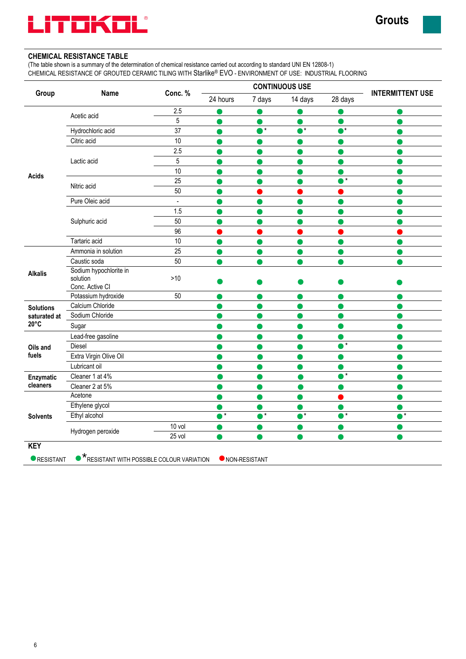

# **CHEMICAL RESISTANCE TABLE**

(The table shown is a summary of the determination of chemical resistance carried out according to standard UNI EN 12808-1) CHEMICAL RESISTANCE OF GROUTED CERAMIC TILING WITH Starlike® EVO - ENVIRONMENT OF USE: INDUSTRIAL FLOORING

|                  | <b>Name</b>                                           | Conc. %        | <b>CONTINUOUS USE</b> |          |          |          |                         |
|------------------|-------------------------------------------------------|----------------|-----------------------|----------|----------|----------|-------------------------|
| Group            |                                                       |                | 24 hours              | 7 days   | 14 days  | 28 days  | <b>INTERMITTENT USE</b> |
|                  |                                                       | 2.5            |                       |          |          |          |                         |
|                  | Acetic acid                                           | $\overline{5}$ |                       |          |          |          |                         |
|                  | Hydrochloric acid                                     | 37             |                       | $\star$  | $^\star$ |          |                         |
|                  | Citric acid                                           | 10             |                       |          |          |          |                         |
|                  |                                                       | 2.5            |                       |          |          |          |                         |
|                  | Lactic acid                                           | $\overline{5}$ |                       |          |          |          |                         |
| <b>Acids</b>     |                                                       | 10             |                       |          |          |          |                         |
|                  | Nitric acid                                           | 25             |                       |          |          | $\star$  |                         |
|                  |                                                       | 50             |                       |          |          |          |                         |
|                  | Pure Oleic acid                                       | $\overline{a}$ |                       |          |          |          |                         |
|                  |                                                       | 1.5            |                       |          |          |          |                         |
|                  | Sulphuric acid                                        | 50             |                       |          |          |          |                         |
|                  |                                                       | 96             |                       |          |          |          |                         |
|                  | Tartaric acid                                         | 10             |                       |          |          |          |                         |
|                  | Ammonia in solution                                   | 25             |                       |          |          |          |                         |
|                  | Caustic soda                                          | 50             |                       |          |          |          |                         |
| <b>Alkalis</b>   | Sodium hypochlorite in<br>solution<br>Conc. Active CI | $>10$          |                       |          |          |          |                         |
|                  | Potassium hydroxide                                   | 50             |                       |          |          |          |                         |
| <b>Solutions</b> | Calcium Chloride                                      |                |                       |          |          |          |                         |
| saturated at     | Sodium Chloride                                       |                |                       |          |          |          |                         |
| $20^{\circ}$ C   | Sugar                                                 |                |                       |          |          |          |                         |
|                  | Lead-free gasoline                                    |                |                       |          |          |          |                         |
| Oils and         | Diesel                                                |                |                       |          |          | $\star$  |                         |
| fuels            | Extra Virgin Olive Oil                                |                |                       |          |          |          |                         |
|                  | Lubricant oil                                         |                |                       |          |          |          |                         |
| Enzymatic        | Cleaner 1 at 4%                                       |                |                       |          |          | $^\star$ |                         |
| cleaners         | Cleaner 2 at 5%                                       |                |                       |          |          |          |                         |
| <b>Solvents</b>  | Acetone                                               |                |                       |          |          |          |                         |
|                  | Ethylene glycol                                       |                |                       |          |          |          |                         |
|                  | Ethyl alcohol                                         |                | $\star$               | $^\star$ | •∗       | r*       | $\star$                 |
|                  |                                                       | 10 vol         |                       |          |          |          |                         |
|                  | Hydrogen peroxide                                     | 25 vol         |                       |          |          |          |                         |
| <b>KEY</b>       |                                                       |                |                       |          |          |          |                         |

**O**RESISTANT **C** RESISTANT WITH POSSIBLE COLOUR VARIATION **C** NON-RESISTANT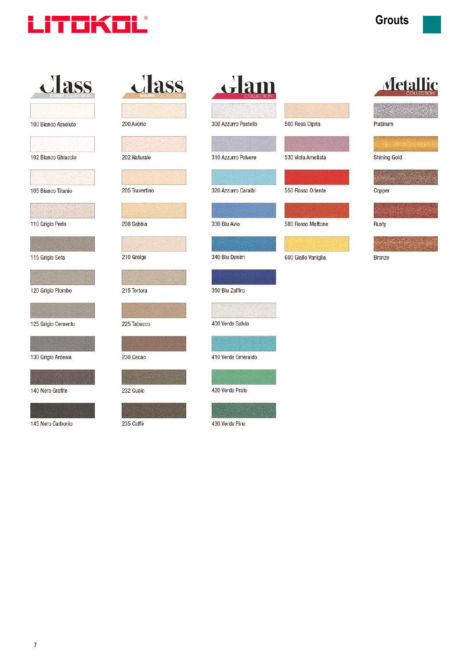

| class               | class          | Glam                 |                     | <b>Metallic</b> |
|---------------------|----------------|----------------------|---------------------|-----------------|
|                     |                |                      |                     |                 |
| 100 Bianco Assoluto | 200 Avorio     | 300 Azzurro Pastello | 500 Rosa Cipria     | Platinum        |
|                     |                |                      |                     |                 |
| 102 Bianco Ghiaccio | 202 Naturale   | 310 Azzurro Polvere  | 530 Viola Ametista  | Shining Gold    |
|                     |                |                      |                     |                 |
| 105 Bianco Titanio  | 205 Travertino | 320 Azzurro Caraibi  | 550 Rosso Oriente   | Copper          |
|                     |                |                      |                     |                 |
| 110 Grigio Perla    | 208 Sabbia     | 330 Blu Avio         | 580 Rosso Mattone   | Rusty           |
|                     |                |                      |                     |                 |
| 115 Grigio Seta     | 210 Greige     | 340 Blu Denim        | 600 Giallo Vaniglia | <b>Bronze</b>   |
|                     |                |                      |                     |                 |
| 120 Grigio Piombo   | 215 Tortora    | 350 Blu Zaffiro      |                     |                 |
|                     |                |                      |                     |                 |
| 125 Grigio Cemento  | 225 Tabacco    | 400 Verde Salvia     |                     |                 |
|                     |                |                      |                     |                 |
| 130 Grigio Ardesia  | 230 Cacao      | 410 Verde Smeraldo   |                     |                 |
|                     |                |                      |                     |                 |
| 140 Nero Grafite    | 232 Cuoio      | 420 Verde Prato      |                     |                 |
|                     |                |                      |                     |                 |
| 145 Nero Carbonio   | 235 Caffè      | 430 Verde Pino       |                     |                 |